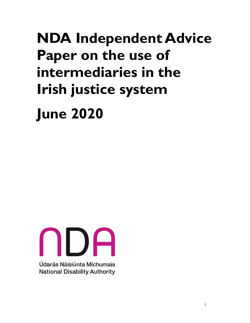# **NDA Independent Advice Paper on the use of intermediaries in the Irish justice system**

**June 2020** 

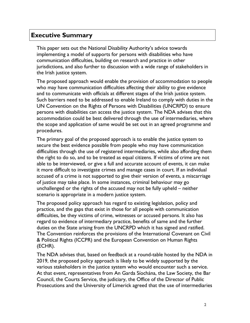# **Executive Summary**

 This paper sets out the National Disability Authority's advice towards implementing a model of supports for persons with disabilities who have communication difficulties, building on research and practice in other jurisdictions, and also further to discussion with a wide range of stakeholders in the Irish justice system.

 The proposed approach would enable the provision of accommodation to people who may have communication difficulties affecting their ability to give evidence and to communicate with officials at different stages of the Irish justice system. Such barriers need to be addressed to enable Ireland to comply with duties in the UN Convention on the Rights of Persons with Disabilities (UNCRPD) to ensure persons with disabilities can access the justice system. The NDA advises that this accommodation could be best delivered through the use of intermediaries, where the scope and application of same would be set out in an agreed programme and procedures.

 The primary goal of the proposed approach is to enable the justice system to secure the best evidence possible from people who may have communication difficulties through the use of registered intermediaries, while also affording them the right to do so, and to be treated as equal citizens. If victims of crime are not able to be interviewed, or give a full and accurate account of events, it can make it more difficult to investigate crimes and manage cases in court. If an individual accused of a crime is not supported to give their version of events, a miscarriage of justice may take place. In some instances, criminal behaviour may go unchallenged or the rights of the accused may not be fully upheld – neither scenario is appropriate in a modern justice system.

 The proposed policy approach has regard to existing legislation, policy and practice, and the gaps that exist in those for all people with communication difficulties, be they victims of crime, witnesses or accused persons. It also has regard to evidence of intermediary practice, benefits of same and the further duties on the State arising from the UNCRPD which it has signed and ratified. The Convention reinforces the provisions of the International Covenant on Civil & Political Rights (ICCPR) and the European Convention on Human Rights (ECHR).

 The NDA advises that, based on feedback at a round-table hosted by the NDA in 2019, the proposed policy approach is likely to be widely supported by the various stakeholders in the justice system who would encounter such a service. At that event, representatives from An Garda Síochána, the Law Society, the Bar Council, the Courts Service, the judiciary, the Office of the Director of Public Prosecutions and the University of Limerick agreed that the use of intermediaries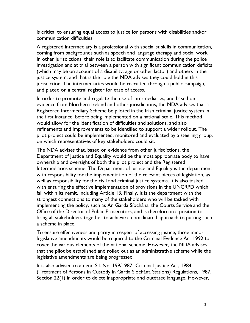is critical to ensuring equal access to justice for persons with disabilities and/or communication difficulties.

 A registered intermediary is a professional with specialist skills in communication, coming from backgrounds such as speech and language therapy and social work. In other jurisdictions, their role is to facilitate communication during the police (which may be on account of a disability, age or other factor) and others in the justice system, and that is the role the NDA advises they could hold in this jurisdiction. The intermediaries would be recruited through a public campaign, and placed on a central register for ease of access. investigation and at trial between a person with significant communication deficits

 In order to promote and regulate the use of intermediaries, and based on evidence from Northern Ireland and other jurisdictions, the NDA advises that a Registered Intermediary Scheme be piloted in the Irish criminal justice system in the first instance, before being implemented on a national scale. This method would allow for the identification of difficulties and solutions, and also refinements and improvements to be identified to support a wider rollout. The pilot project could be implemented, monitored and evaluated by a steering group, on which representatives of key stakeholders could sit.

 The NDA advises that, based on evidence from other jurisdictions, the Department of Justice and Equality would be the most appropriate body to have ownership and oversight of both the pilot project and the Registered Intermediaries scheme. The Department of Justice and Equality is the department with responsibility for the implementation of the relevant pieces of legislation, as well as responsibility for the civil and criminal justice systems. It is also tasked with ensuring the effective implementation of provisions in the UNCRPD which fall within its remit, including Article 13. Finally, it is the department with the strongest connections to many of the stakeholders who will be tasked with implementing the policy, such as An Garda Síochána, the Courts Service and the Office of the Director of Public Prosecutors, and is therefore in a position to bring all stakeholders together to achieve a coordinated approach to putting such a scheme in place.

 To ensure effectiveness and parity in respect of accessing justice, three minor legislative amendments would be required to the Criminal Evidence Act 1992 to cover the various elements of the national scheme. However, the NDA advises that the pilot be established and rolled out as an administrative scheme while the legislative amendments are being progressed.

 It is also advised to amend S.I. No. 199/1987- Criminal Justice Act, 1984 (Treatment of Persons in Custody in Garda Síochána Stations) Regulations, 1987, Section 22(1) in order to delete inappropriate and outdated language. However,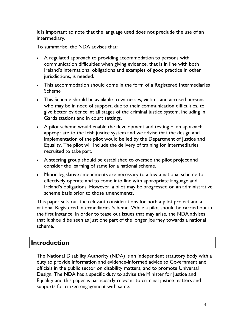it is important to note that the language used does not preclude the use of an intermediary.

To summarise, the NDA advises that:

- • A regulated approach to providing accommodation to persons with communication difficulties when giving evidence, that is in line with both Ireland's international obligations and examples of good practice in other jurisdictions, is needed.
- • This accommodation should come in the form of a Registered Intermediaries Scheme
- • This Scheme should be available to witnesses, victims and accused persons who may be in need of support, due to their communication difficulties, to give better evidence, at all stages of the criminal justice system, including in Garda stations and in court settings.
- • A pilot scheme would enable the development and testing of an approach appropriate to the Irish justice system and we advise that the design and implementation of the pilot would be led by the Department of Justice and Equality. The pilot will include the delivery of training for intermediaries recruited to take part.
- • A steering group should be established to oversee the pilot project and consider the learning of same for a national scheme.
- • Minor legislative amendments are necessary to allow a national scheme to effectively operate and to come into line with appropriate language and Ireland's obligations. However, a pilot may be progressed on an administrative scheme basis prior to those amendments.

 This paper sets out the relevant considerations for both a pilot project and a national Registered Intermediaries Scheme. While a pilot should be carried out in the first instance, in order to tease out issues that may arise, the NDA advises that it should be seen as just one part of the longer journey towards a national scheme.

# **Introduction**

 The National Disability Authority (NDA) is an independent statutory body with a duty to provide information and evidence-informed advice to Government and officials in the public sector on disability matters, and to promote Universal Design. The NDA has a specific duty to advise the Minister for Justice and Equality and this paper is particularly relevant to criminal justice matters and supports for citizen engagement with same.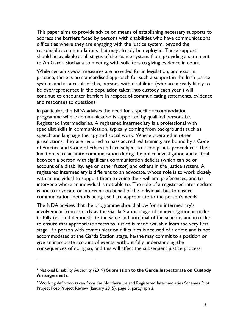This paper aims to provide advice on means of establishing necessary supports to address the barriers faced by persons with disabilities who have communications difficulties where they are engaging with the justice system, beyond the reasonable accommodations that may already be deployed. These supports should be available at all stages of the justice system, from providing a statement to An Garda Síochána to meeting with solicitors to giving evidence in court.

 While certain special measures are provided for in legislation, and exist in practice, there is no standardised approach for such a support in the Irish justice system, and as a result of this, persons with disabilities (who are already likely to be overrepresented in the population taken into custody each year[1](#page-4-0)) will continue to encounter barriers in respect of communicating statements, evidence and responses to questions.

 In particular, the NDA advises the need for a specific accommodation programme where communication is supported by qualified persons i.e. Registered Intermediaries. A registered intermediary is a professional with specialist skills in communication, typically coming from backgrounds such as speech and language therapy and social work. Where operated in other jurisdictions, they are required to pass accredited training, are bound by a Code of Practice and Code of Ethics and are subject to a complaints procedure.<sup>[2](#page-4-1)</sup> Their function is to facilitate communication during the police investigation and at trial account of a disability, age or other factor) and others in the justice system. A registered intermediary is different to an advocate, whose role is to work closely with an individual to support them to voice their will and preferences, and to intervene where an individual is not able to. The role of a registered intermediate is not to advocate or intervene on behalf of the individual, but to ensure communication methods being used are appropriate to the person's needs. between a person with significant communication deficits (which can be on

 The NDA advises that the programme should allow for an intermediary's involvement from as early as the Garda Station stage of an investigation in order to fully test and demonstrate the value and potential of the scheme, and in order to ensure that appropriate access to justice is made available from the very first stage. If a person with communication difficulties is accused of a crime and is not accommodated at the Garda Station stage, he/she may commit to a position or give an inaccurate account of events, without fully understanding the consequences of doing so, and this will affect the subsequent justice process.

-

<span id="page-4-0"></span><sup>1</sup> National Disability Authority (2019) **Submission to the Garda Inspectorate on Custody Arrangements.** 

<span id="page-4-1"></span><sup>2</sup> Working definition taken from the Northern Ireland Registered Intermediaries Schemes Pilot Project Post-Project Review (January 2015), page 5, paragraph 2.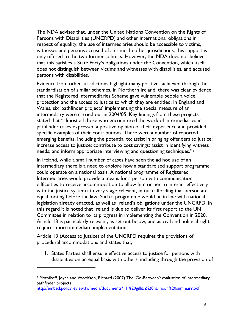The NDA advises that, under the United Nations Convention on the Rights of Persons with Disabilities (UNCRPD) and other international obligations in respect of equality, the use of intermediaries should be accessible to victims, witnesses and persons accused of a crime. In other jurisdictions, this support is only offered to the two former cohorts. However, the NDA does not believe that this satisfies a State Party's obligations under the Convention, which itself does not distinguish between victims and witnesses with disabilities, and accused persons with disabilities.

 Evidence from other jurisdictions highlight many positives achieved through the standardisation of similar schemes. In Northern Ireland, there was clear evidence that the Registered Intermediaries Scheme gave vulnerable people a voice, protection and the access to justice to which they are entitled. In England and Wales, six 'pathfinder projects' implementing the special measure of an stated that "almost all those who encountered the work of intermediaries in pathfinder cases expressed a positive opinion of their experience and provided specific examples of their contributions. There were a number of reported emerging benefits, including the potential to: assist in bringing offenders to justice; increase access to justice; contribute to cost savings; assist in identifying witness needs; and inform appropriate interviewing and questioning techniques."[3](#page-5-0) intermediary were carried out in 2004/05. Key findings from these projects

 In Ireland, while a small number of cases have seen the ad hoc use of an intermediary there is a need to explore how a standardised support programme could operate on a national basis. A national programme of Registered Intermediaries would provide a means for a person with communication difficulties to receive accommodation to allow him or her to interact effectively with the justice system at every stage relevant, in turn affording that person an equal footing before the law. Such a programme would be in line with national legislation already enacted, as well as Ireland's obligations under the UNCRPD. In this regard it is noted that Ireland is due to deliver its first report to the UN Committee in relation to its progress in implementing the Convention in 2020. Article 13 is particularly relevant, as set out below, and as civil and political right requires more immediate implementation.

 Article 13 (Access to Justice) of the UNCRPD requires the provisions of procedural accommodations and states that,

 $\overline{a}$ 

 1. States Parties shall ensure effective access to justice for persons with disabilities on an equal basis with others, including through the provision of

<span id="page-5-0"></span><sup>&</sup>lt;sup>3</sup> Plotnikoff, Joyce and Woolfson, Richard (2007) The 'Go-Between': evaluation of intermediary pathfinder projects

<http://embed.policyreview.tv/media/documents/11.%20gillian%20harrison%20summary.pdf>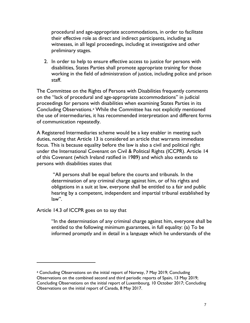procedural and age-appropriate accommodations, in order to facilitate their effective role as direct and indirect participants, including as witnesses, in all legal proceedings, including at investigative and other preliminary stages.

 2. In order to help to ensure effective access to justice for persons with disabilities, States Parties shall promote appropriate training for those working in the field of administration of justice, including police and prison staff.

 The Committee on the Rights of Persons with Disabilities frequently comments on the "lack of procedural and age-appropriate accommodations" in judicial proceedings for persons with disabilities when examining States Parties in its Concluding Observations.[4](#page-6-0) While the Committee has not explicitly mentioned the use of intermediaries, it has recommended interpretation and different forms of communication repeatedly.

 A Registered Intermediaries scheme would be a key enabler in meeting such duties, noting that Article 13 is considered an article that warrants immediate focus. This is because equality before the law is also a civil and political right under the International Covenant on Civil & Political Rights (ICCPR). Article 14 of this Covenant (which Ireland ratified in 1989) and which also extends to persons with disabilities states that

 "All persons shall be equal before the courts and tribunals. In the determination of any criminal charge against him, or of his rights and obligations in a suit at law, everyone shall be entitled to a fair and public hearing by a competent, independent and impartial tribunal established by law".

Article 14.3 of ICCPR goes on to say that

 $\overline{a}$ 

 "In the determination of any criminal charge against him, everyone shall be entitled to the following minimum guarantees, in full equality: (a) To be informed promptly and in detail in a language which he understands of the

<span id="page-6-0"></span> 4 Concluding Observations on the initial report of Norway, 7 May 2019; Concluding Observations on the combined second and third periodic reports of Spain, 13 May 2019; Concluding Observations on the initial report of Luxembourg, 10 October 2017; Concluding Observations on the initial report of Canada, 8 May 2017.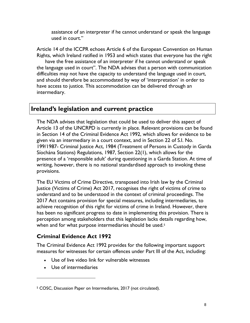assistance of an interpreter if he cannot understand or speak the language used in court."

 Article 14 of the ICCPR echoes Article 6 of the European Convention on Human Rights, which Ireland ratified in 1953 and which states that everyone has the right have the free assistance of an interpreter if he cannot understand or speak the language used in court". The NDA advises that a person with communication difficulties may not have the capacity to understand the language used in court, and should therefore be accommodated by way of 'interpretation' in order to have access to justice. This accommodation can be delivered through an intermediary.

# **Ireland's legislation and current practice**

 The NDA advises that legislation that could be used to deliver this aspect of Article 13 of the UNCRPD is currently in place. Relevant provisions can be found in Section 14 of the Criminal Evidence Act 1992, which allows for evidence to be 199/1987- Criminal Justice Act, 1984 (Treatment of Persons in Custody in Garda Síochána Stations) Regulations, 1987, Section 22(1), which allows for the presence of a 'responsible adult' during questioning in a Garda Station. At time of writing, however, there is no national standardised approach to invoking these given via an intermediary in a court context, and in Section 22 of S.I. No. provisions.

 The EU Victims of Crime Directive, transposed into Irish law by the Criminal Justice (Victims of Crime) Act 2017, recognises the right of victims of crime to understand and to be understood in the context of criminal proceedings. The 2017 Act contains provision for special measures, including intermediaries, to achieve recognition of this right for victims of crime in Ireland. However, there has been no significant progress to date in implementing this provision. There is perception among stakeholders that this legislation lacks details regarding how, when and for what purpose intermediaries should be used.<sup>5</sup>

## **Criminal Evidence Act 1992**

 The Criminal Evidence Act 1992 provides for the following important support measures for witnesses for certain offences under Part III of the Act, including:

- Use of live video link for vulnerable witnesses
- Use of intermediaries

 $\overline{a}$ 

<span id="page-7-0"></span><sup>5</sup> COSC, Discussion Paper on Intermediaries, 2017 (not circulated).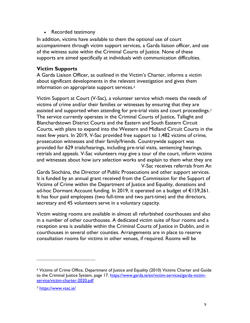• Recorded testimony

 • Recorded testimony In addition, victims have available to them the optional use of court accompaniment through victim support services, a Garda liaison officer, and use of the witness suite within the Criminal Courts of Justice. None of these supports are aimed specifically at individuals with communication difficulties.

#### **Victim Supports**

 A Garda Liaison Officer, as outlined in the Victim's Charter, informs a victim about significant developments in the relevant investigation and gives them information on appropriate support services.<sup>6</sup>

 Victim Support at Court (V-Sac), a volunteer service which meets the needs of victims of crime and/or their families or witnesses by ensuring that they are assisted and supported when attending for pre-trial visits and court proceedings.<sup>[7](#page-8-1)</sup> The service currently operates in the Criminal Courts of Justice, Tallaght and Blanchardstown District Courts and the Eastern and South Eastern Circuit Courts, with plans to expand into the Western and Midland Circuit Courts in the next few years. In 2019, V-Sac provided free support to 1,482 victims of crime, prosecution witnesses and their family/friends. Countrywide support was provided for 629 trials/hearings, including pre-trial visits, sentencing hearings, retrials and appeals. V-Sac volunteers may give a tour of the court, inform victims and witnesses about how jury selection works and explain to them what they are V-Sac receives referrals from An

 Garda Síochána, the Director of Public Prosecutions and other support services. It is funded by an annual grant received from the Commission for the Support of Victims of Crime within the Department of Justice and Equality, donations and ad-hoc Dormant Account funding. In 2019, it operated on a budget of €159,261. It has four paid employees (two full-time and two part-time) and the directors, secretary and 45 volunteers serve in a voluntary capacity.

 Victim waiting rooms are available in almost all refurbished courthouses and also in a number of other courthouses. A dedicated victim suite of four rooms and a reception area is available within the Criminal Courts of Justice in Dublin, and in courthouses in several other counties. Arrangements are in place to reserve consultation rooms for victims in other venues, if required. Rooms will be

 $\overline{a}$ 

<span id="page-8-0"></span><sup>&</sup>lt;sup>6</sup> Victims of Crime Office, Department of Justice and Equality (2010) Victims Charter and Guide to the Criminal Justice System, page 17. [https://www.garda.ie/en/victim-services/garda-victim](https://www.garda.ie/en/victim-services/garda-victim-service/victim-charter-2020.pdf)service/victim-charter-2020.pdf

<span id="page-8-1"></span><sup>7</sup><https://www.vsac.ie/>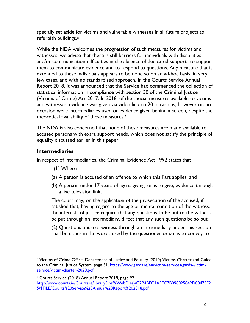specially set aside for victims and vulnerable witnesses in all future projects to refurbish buildings.[8](#page-9-0) 

 While the NDA welcomes the progression of such measures for victims and witnesses, we advise that there is still barriers for individuals with disabilities and/or communication difficulties in the absence of dedicated supports to support them to communicate evidence and to respond to questions. Any measure that is extended to these individuals appears to be done so on an ad-hoc basis, in very few cases, and with no standardised approach. In the Courts Service Annual Report 2018, it was announced that the Service had commenced the collection of statistical information in compliance with section 30 of the Criminal Justice (Victims of Crime) Act 2017. In 2018, of the special measures available to victims and witnesses, evidence was given via video link on 20 occasions, however on no occasion were intermediaries used or evidence given behind a screen, despite the theoretical availability of these measures.[9](#page-9-1) 

 The NDA is also concerned that none of these measures are made available to accused persons with extra support needs, which does not satisfy the principle of equality discussed earlier in this paper.

#### **Intermediaries**

-

In respect of intermediaries, the Criminal Evidence Act 1992 states that

- "(1) Where-
- (a) A person is accused of an offence to which this Part applies, and
- (b) A person under 17 years of age is giving, or is to give, evidence through a live television link,

 The court may, on the application of the prosecution of the accused, if satisfied that, having regard to the age or mental condition of the witness, the interests of justice require that any questions to be put to the witness be put through an intermediary, direct that any such questions be so put.

 (2) Questions put to a witness through an intermediary under this section shall be either in the words used by the questioner or so as to convey to

<span id="page-9-0"></span><sup>&</sup>lt;sup>8</sup> Victims of Crime Office, Department of Justice and Equality (2010) Victims Charter and Guide service/victim-charter-2020.pdf to the Criminal Justice System, page 31. [https://www.garda.ie/en/victim-services/garda-victim-](https://www.garda.ie/en/victim-services/garda-victim-service/victim-charter-2020.pdf)

<span id="page-9-1"></span><sup>&</sup>lt;sup>9</sup> Courts Service (2018) Annual Report 2018, page 92 [http://www.courts.ie/Courts.ie/library3.nsf/\(WebFiles\)/C2B4BFC1AFEC7B098025842D00473F2](http://www.courts.ie/Courts.ie/library3.nsf/(WebFiles)/C2B4BFC1AFEC7B098025842D00473F25/$FILE/Courts%20Service%20Annual%20Report%202018.pdf)  [5/\\$FILE/Courts%20Service%20Annual%20Report%202018.pdf](http://www.courts.ie/Courts.ie/library3.nsf/(WebFiles)/C2B4BFC1AFEC7B098025842D00473F25/$FILE/Courts%20Service%20Annual%20Report%202018.pdf)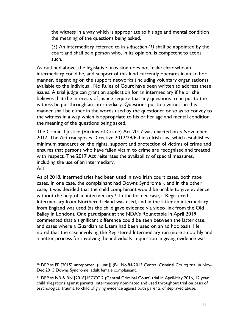the witness in a way which is appropriate to his age and mental condition the meaning of the questions being asked.

 (3) An intermediary referred to in *subsection (1)* shall be appointed by the court and shall be a person who, in its opinion, is competent to act as such.

 As outlined above, the legislative provision does not make clear who an manner, depending on the support networks (including voluntary organisations) available to the individual. No Rules of Court have been written to address these issues. A trial judge can grant an application for an intermediary if he or she believes that the interests of justice require that any questions to be put to the witness be put through an intermediary. Questions put to a witness in this manner shall be either in the words used by the questioner or so as to convey to the witness in a way which is appropriate to his or her age and mental condition the meaning of the questions being asked. intermediary could be, and support of this kind currently operates in an ad hoc

 The Criminal Justice (Victims of Crime) Act 2017 was enacted on 5 November 2017. The Act transposes Directive 2012/29/EU into Irish law, which establishes minimum standards on the rights, support and protection of victims of crime and ensures that persons who have fallen victim to crime are recognised and treated with respect. The 2017 Act reiterates the availability of special measures, including the use of an intermediary. The 2017 Act does not supplant the 2017 Act does not supplant the 1992 A Act.

 As of 2018, intermediaries had been used in two Irish court cases, both rape cases. In one case, the complainant had Downs Syndrome[10](#page-10-0), and in the other case, it was decided that the child complainant would be unable to give evidence without the help of an intermediary.[11](#page-10-1) In the former case, a Registered Intermediary from Northern Ireland was used, and in the latter an intermediary from England was used (as the child gave evidence via video link from the Old Bailey in London). One participant at the NDA's Roundtable in April 2019 commented that a significant difference could be seen between the latter case, and cases where a Guardian ad Litem had been used on an ad hoc basis. He noted that the case involving the Registered Intermediary ran more smoothly and a better process for involving the individuals in question in giving evidence was

 $\overline{a}$ 

<span id="page-10-0"></span><sup>10</sup> DPP vs FE [2015] unreported, (Hunt J) (Bill No.84/2013 Central Criminal Court) trial in Nov-Dec 2015 Downs Syndrome, adult female complainant.

<span id="page-10-1"></span> 11 DPP vs NR & RN [2016] IECCC 2 (Central Criminal Court) trial in April-May 2016, 12 year child allegations against parents; intermediary nominated and used throughout trial on basis of psychological trauma to child of giving evidence against both parents of depraved abuse.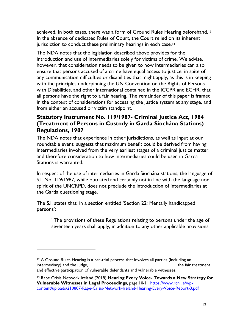achieved. In both cases, there was a form of Ground Rules Hearing beforehand.<sup>[12](#page-11-0)</sup> In the absence of dedicated Rules of Court, the Court relied on its inherent jurisdiction to conduct these preliminary hearings in each case.<sup>13</sup>

 The NDA notes that the legislation described above provides for the introduction and use of intermediaries solely for victims of crime. We advise, however, that consideration needs to be given to how intermediaries can also ensure that persons accused of a crime have equal access to justice, in spite of any communication difficulties or disabilities that might apply, as this is in keeping with the principles underpinning the UN Convention on the Rights of Persons with Disabilities, and other international contained in the ICCPR and ECHR, that all persons have the right to a fair hearing. The remainder of this paper is framed in the context of considerations for accessing the justice system at any stage, and from either an accused or victim standpoint.

## **Statutory Instrument No. 119/1987- Criminal Justice Act, 1984 (Treatment of Persons in Custody in Garda Síochána Stations) Regulations, 1987**

 The NDA notes that experience in other jurisdictions, as well as input at our roundtable event, suggests that maximum benefit could be derived from having intermediaries involved from the very earliest stages of a criminal justice matter, and therefore consideration to how intermediaries could be used in Garda Stations is warranted.

 In respect of the use of intermediaries in Garda Síochána stations, the language of S.I. No. 119/1987, while outdated and certainly not in line with the language nor spirit of the UNCRPD, does not preclude the introduction of intermediaries at the Garda questioning stage.

persons': The S.I. states that, in a section entitled 'Section 22: Mentally handicapped

 $\overline{a}$ 

persons':<br>The provisions of these Regulations relating to persons under the age of" seventeen years shall apply, in addition to any other applicable provisions,

<span id="page-11-0"></span>intermediary) and the judge, who discussed are also and agree and agreement for ensuring the fair treatment <sup>12</sup> A Ground Rules Hearing is a pre-trial process that involves all parties (including an and effective participation of vulnerable defendants and vulnerable witnesses.

<span id="page-11-1"></span> 13 Rape Crisis Network Ireland (2018) **Hearing Every Voice- Towards a New Strategy for Vulnerable Witnesses in Legal Proceedings**, page 10-11 [https://www.rcni.ie/wp](https://www.rcni.ie/wp-content/uploads/210807-Rape-Crisis-Network-Ireland-Hearing-Every-Voice-Report-3.pdf)[content/uploads/210807-Rape-Crisis-Network-Ireland-Hearing-Every-Voice-Report-3.pdf](https://www.rcni.ie/wp-content/uploads/210807-Rape-Crisis-Network-Ireland-Hearing-Every-Voice-Report-3.pdf)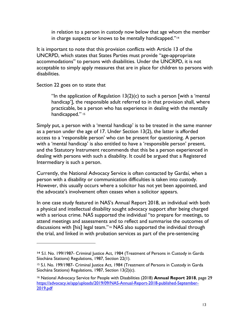in relation to a person in custody now below that age whom the member in charge suspects or knows to be mentally handicapped."<sup>[14](#page-12-0)</sup>

 It is important to note that this provision conflicts with Article 13 of the UNCRPD, which states that States Parties must provide "age-appropriate accommodations" to persons with disabilities. Under the UNCRPD, it is not acceptable to simply apply measures that are in place for children to persons with disabilities.

Section 22 goes on to state that

 $\overline{a}$ 

"In the application of Regulation  $13(2)(c)$  to such a person [with a 'mental handicap'], the responsible adult referred to in that provision shall, where practicable, be a person who has experience in dealing with the mentally handicapped." [15](#page-12-1)

 Simply put, a person with a 'mental handicap' is to be treated in the same manner as a person under the age of 17. Under Section 13(2), the latter is afforded access to a 'responsible person' who can be present for questioning. A person with a 'mental handicap' is also entitled to have a 'responsible person' present, and the Statutory Instrument recommends that this be a person experienced in dealing with persons with such a disability. It could be argued that a Registered Intermediary is such a person.

 Currently, the National Advocacy Service is often contacted by Gardaí, when a person with a disability or communication difficulties is taken into custody. However, this usually occurs where a solicitor has not yet been appointed, and the advocate's involvement often ceases when a solicitor appears.

 In one case study featured in NAS's Annual Report 2018, an individual with both a physical and intellectual disability sought advocacy support after being charged with a serious crime. NAS supported the individual "to prepare for meetings, to attend meetings and assessments and to reflect and summarise the outcomes of discussions with [his] legal team."[16](#page-12-2) NAS also supported the individual through the trial, and linked in with probation services as part of the pre-sentencing

<span id="page-12-0"></span>**<sup>14</sup>**S.I. No. 199/1987- Criminal Justice Act, 1984 (Treatment of Persons in Custody in Garda Síochána Stations) Regulations, 1987, Section 22(1).

<span id="page-12-1"></span><sup>15</sup> S.I. No. 199/1987- Criminal Justice Act, 1984 (Treatment of Persons in Custody in Garda Síochána Stations) Regulations, 1987, Section 13(2)(c).

<span id="page-12-2"></span><sup>2019.</sup>pdf 16 National Advocacy Service for People with Disabilities (2018) **Annual Report 2018**, page 29 [https://advocacy.ie/app/uploads/2019/09/NAS-Annual-Report-2018-published-September-](https://advocacy.ie/app/uploads/2019/09/NAS-Annual-Report-2018-published-September-2019.pdf) $\frac{2019. \text{pdf}}{13}$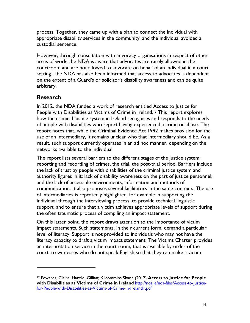process. Together, they came up with a plan to connect the individual with appropriate disability services in the community, and the individual avoided a custodial sentence.

 areas of work, the NDA is aware that advocates are rarely allowed in the courtroom and are not allowed to advocate on behalf of an individual in a court setting. The NDA has also been informed that access to advocates is dependent on the extent of a Guard's or solicitor's disability awareness and can be quite However, through consultation with advocacy organisations in respect of other arbitrary.

## **Research**

-

 In 2012, the NDA funded a work of research entitled Access to Justice for People with Disabilities as Victims of Crime in Ireland.<sup>[17](#page-13-0)</sup> This report explores how the criminal justice system in Ireland recognises and responds to the needs of people with disabilities who report having experienced a crime or abuse. The report notes that, while the Criminal Evidence Act 1992 makes provision for the use of an intermediary, it remains unclear who that intermediary should be. As a result, such support currently operates in an ad hoc manner, depending on the networks available to the individual.

 The report lists several barriers to the different stages of the justice system: reporting and recording of crimes, the trial, the post-trial period. Barriers include the lack of trust by people with disabilities of the criminal justice system and authority figures in it; lack of disability awareness on the part of justice personnel; and the lack of accessible environments, information and methods of communication. It also proposes several facilitators in the same contexts. The use of intermediaries is repeatedly highlighted, for example in supporting the individual through the interviewing process, to provide technical linguistic support, and to ensure that a victim achieves appropriate levels of support during the often traumatic process of compiling an impact statement.

 On this latter point, the report draws attention to the importance of victim impact statements. Such statements, in their current form, demand a particular level of literacy. Support is not provided to individuals who may not have the literacy capacity to draft a victim impact statement. The Victims Charter provides an interpretation service in the court room, that is available by order of the court, to witnesses who do not speak English so that they can make a victim

<span id="page-13-0"></span><sup>17</sup> Edwards, Claire; Harold, Gillian; Kilcommins Shane (2012) **Access to Justice for People with Disabilities as Victims of Crime in Ireland** [http://nda.ie/nda-files/Access-to-Justice](http://nda.ie/nda-files/Access-to-Justice-for-People-with-Disabilities-as-Victims-of-Crime-in-Ireland1.pdf)[for-People-with-Disabilities-as-Victims-of-Crime-in-Ireland1.pdf](http://nda.ie/nda-files/Access-to-Justice-for-People-with-Disabilities-as-Victims-of-Crime-in-Ireland1.pdf)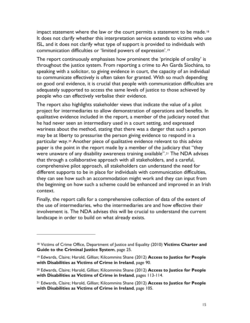impact statement where the law or the court permits a statement to be made.<sup>[18](#page-14-0)</sup> It does not clarify whether this interpretation service extends to victims who use ISL, and it does not clarify what type of support is provided to individuals with communication difficulties or 'limited powers of expression'.[19](#page-14-1) 

 The report continuously emphasises how prominent the 'principle of orality' is throughout the justice system. From reporting a crime to An Garda Síochána, to speaking with a solicitor, to giving evidence in court, the capacity of an individual to communicate effectively is often taken for granted. With so much depending on good oral evidence, it is crucial that people with communication difficulties are adequately supported to access the same levels of justice to those achieved by people who can effectively verbalise their evidence.

 The report also highlights stakeholder views that indicate the value of a pilot project for intermediaries to allow demonstration of operations and benefits. In qualitative evidence included in the report, a member of the judiciary noted that he had never seen an intermediary used in a court setting, and expressed wariness about the method, stating that there was a danger that such a person may be at liberty to pressurise the person giving evidence to respond in a particular way.[20](#page-14-2) Another piece of qualitative evidence relevant to this advice paper is the point in the report made by a member of the judiciary that "they were unaware of any disability awareness training available".[21](#page-14-3) The NDA advises comprehensive pilot approach, all stakeholders can understand the need for different supports to be in place for individuals with communication difficulties, they can see how such an accommodation might work and they can input from the beginning on how such a scheme could be enhanced and improved in an Irish that through a collaborative approach with all stakeholders, and a careful, context.

 Finally, the report calls for a comprehensive collection of data of the extent of the use of intermediaries, who the intermediaries are and how effective their involvement is. The NDA advises this will be crucial to understand the current landscape in order to build on what already exists.

-

<span id="page-14-0"></span> 18 Victims of Crime Office, Department of Justice and Equality (2010) **Victims Charter and Guide to the Criminal Justice System**, page 25.

<span id="page-14-1"></span><sup>19</sup> Edwards, Claire; Harold, Gillian; Kilcommins Shane (2012) **Access to Justice for People with Disabilities as Victims of Crime in Ireland**, page 90.

<span id="page-14-2"></span><sup>20</sup> Edwards, Claire; Harold, Gillian; Kilcommins Shane (2012) **Access to Justice for People with Disabilities as Victims of Crime in Ireland**, pages 113-114.

<span id="page-14-3"></span><sup>21</sup> Edwards, Claire; Harold, Gillian; Kilcommins Shane (2012) **Access to Justice for People with Disabilities as Victims of Crime in Ireland**, page 105.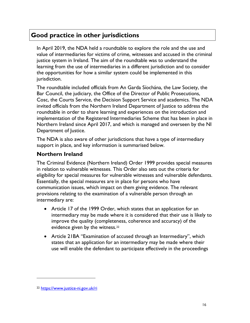# **Good practice in other jurisdictions**

 In April 2019, the NDA held a roundtable to explore the role and the use and value of intermediaries for victims of crime, witnesses and accused in the criminal justice system in Ireland. The aim of the roundtable was to understand the learning from the use of intermediaries in a different jurisdiction and to consider the opportunities for how a similar system could be implemented in this jurisdiction.

 The roundtable included officials from An Garda Síochána, the Law Society, the Bar Council, the judiciary, the Office of the Director of Public Prosecutions, Cosc, the Courts Service, the Decision Support Service and academics. The NDA invited officials from the Northern Ireland Department of Justice to address the roundtable in order to share learning and experiences on the introduction and implementation of the Registered Intermediaries Scheme that has been in place in Northern Ireland since April 2017, and which is managed and overseen by the NI Department of Justice.

 The NDA is also aware of other jurisdictions that have a type of intermediary support in place, and key information is summarised below.

## **Northern Ireland**

 The Criminal Evidence (Northern Ireland) Order 1999 provides special measures in relation to vulnerable witnesses. This Order also sets out the criteria for eligibility for special measures for vulnerable witnesses and vulnerable defendants. communication issues, which impact on them giving evidence. The relevant provisions relating to the examination of a vulnerable person through an intermediary are: Essentially, the special measures are in place for persons who have

- • Article 17 of the 1999 Order, which states that an application for an intermediary may be made where it is considered that their use is likely to improve the quality (completeness, coherence and accuracy) of the evidence given by the witness.<sup>[22](#page-15-0)</sup>
- • Article 21BA "Examination of accused through an Intermediary", which states that an application for an intermediary may be made where their use will enable the defendant to participate effectively in the proceedings

-

<span id="page-15-0"></span><sup>22</sup><https://www.justice-ni.gov.uk/ri>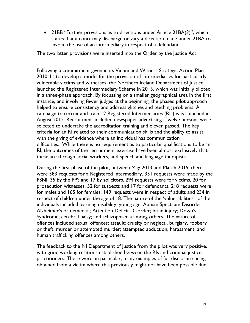• 21BB "Further provisions as to directions under Article 21BA(3)", which states that a court may discharge or vary a direction made under 21BA to invoke the use of an intermediary in respect of a defendant.

The two latter provisions were inserted into the Order by the Justice Act

 Following a commitment given in its Victim and Witness Strategic Action Plan 2010-11 to develop a model for the provision of intermediaries for particularly vulnerable victims and witnesses, the Northern Ireland Department of Justice launched the Registered Intermediary Scheme in 2013, which was initially piloted in a three-phase approach. By focussing on a smaller geographical area in the first instance, and involving fewer judges at the beginning, the phased pilot approach helped to ensure consistency and address glitches and teething problems. A campaign to recruit and train 12 Registered Intermediaries (RIs) was launched in August 2012. Recruitment included newspaper advertising. Twelve persons were selected to undertake the accreditation training and eleven passed. The key criteria for an RI related to their communication skills and the ability to assist with the giving of evidence where an individual has communication difficulties. While there is no requirement as to particular qualifications to be an RI, the outcomes of the recruitment exercise have been almost exclusively that these are through social workers, and speech and language therapists.

 During the first phase of the pilot, between May 2013 and March 2015, there were 383 requests for a Registered Intermediary. 331 requests were made by the PSNI, 35 by the PPS and 17 by solicitors. 294 requests were for victims, 20 for prosecution witnesses, 52 for suspects and 17 for defendants. 218 requests were for males and 165 for females. 149 requests were in respect of adults and 234 in respect of children under the age of 18. The nature of the 'vulnerabilities' of the individuals included learning disability; young age; Autism Spectrum Disorder; Alzheimer's or dementia; Attention Deficit Disorder; brain injury; Down's Syndrome; cerebral palsy; and schizophrenia among others. The nature of or theft; murder or attempted murder; attempted abduction; harassment; and offences included sexual offences; assault; cruelty or neglect', burglary, robbery human trafficking offences among others.

 The feedback to the NI Department of Justice from the pilot was very positive, with good working relations established between the RIs and criminal justice practitioners. There were, in particular, many examples of full disclosure being obtained from a victim where this previously might not have been possible due,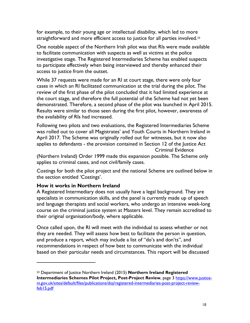for example, to their young age or intellectual disability, which led to more straightforward and more efficient access to justice for all parties involved.<sup>23</sup>

 One notable aspect of the Northern Irish pilot was that RIs were made available to facilitate communication with suspects as well as victims at the police investigative stage. The Registered Intermediaries Scheme has enabled suspects to participate effectively when being interviewed and thereby enhanced their access to justice from the outset.

 While 37 requests were made for an RI at court stage, there were only four cases in which an RI facilitated communication at the trial during the pilot. The review of the first phase of the pilot concluded that it had limited experience at the court stage, and therefore the full potential of the Scheme had not yet been demonstrated. Therefore, a second phase of the pilot was launched in April 2015. Results were similar to those seen during the first pilot, however, awareness of the availability of RIs had increased.

 Following two pilots and two evaluations, the Registered Intermediaries Scheme was rolled out to cover all Magistrates' and Youth Courts in Northern Ireland in April 2017. The Scheme was originally rolled out for witnesses, but it now also applies to defendants - the provision contained in Section 12 of the Justice Act Criminal Evidence

 (Northern Ireland) Order 1999 made this expansion possible. The Scheme only applies to criminal cases, and not civil/family cases.

 Costings for both the pilot project and the national Scheme are outlined below in the section entitled 'Costings'.

#### **How it works in Northern Ireland**

-

 A Registered Intermediary does not usually have a legal background. They are specialists in communication skills, and the panel is currently made up of speech and language therapists and social workers, who undergo an intensive week-long course on the criminal justice system at Masters level. They remain accredited to their original organisation/body, where applicable.

 Once called upon, the RI will meet with the individual to assess whether or not they are needed. They will assess how best to facilitate the person in question, and produce a report, which may include a list of "do's and don'ts", and recommendations in respect of how best to communicate with the individual based on their particular needs and circumstances. This report will be discussed

<span id="page-17-0"></span><sup>23</sup> Department of Justice Northern Ireland (2015) **Northern Ireland Registered Intermediaries Schemes Pilot Project, Post-Project Review**, page 3 [https://www.justice](https://www.justice-ni.gov.uk/sites/default/files/publications/doj/registered-intermediaries-post-project-review-feb15.pdf)[ni.gov.uk/sites/default/files/publications/doj/registered-intermediaries-post-project-review](https://www.justice-ni.gov.uk/sites/default/files/publications/doj/registered-intermediaries-post-project-review-feb15.pdf)[feb15.pdf](https://www.justice-ni.gov.uk/sites/default/files/publications/doj/registered-intermediaries-post-project-review-feb15.pdf)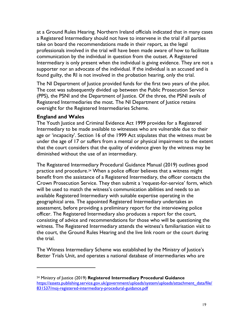at a Ground Rules Hearing. Northern Ireland officials indicated that in many cases a Registered Intermediary should not have to intervene in the trial if all parties take on board the recommendations made in their report, as the legal professionals involved in the trial will have been made aware of how to facilitate communication by the individual in question from the outset. A Registered Intermediary is only present when the individual is giving evidence. They are not a supporter nor an advocate of the individual. If the individual is an accused and is found guilty, the RI is not involved in the probation hearing, only the trial.

 The NI Department of Justice provided funds for the first two years of the pilot. The cost was subsequently divided up between the Public Prosecution Service (PPS), the PSNI and the Department of Justice. Of the three, the PSNI avails of Registered Intermediaries the most. The NI Department of Justice retains oversight for the Registered Intermediaries Scheme.

#### **England and Wales**

-

 The Youth Justice and Criminal Evidence Act 1999 provides for a Registered Intermediary to be made available to witnesses who are vulnerable due to their age or 'incapacity'. Section 16 of the 1999 Act stipulates that the witness must be under the age of 17 or suffers from a mental or physical impairment to the extent that the court considers that the quality of evidence given by the witness may be diminished without the use of an intermediary.

 The Registered Intermediary Procedural Guidance Manual (2019) outlines good practice and procedure.[24](#page-18-0) When a police officer believes that a witness might benefit from the assistance of a Registered Intermediary, the officer contacts the Crown Prosecution Service. They then submit a 'request-for-service' form, which will be used to match the witness's communication abilities and needs to an available Registered Intermediary with suitable expertise operating in the geographical area. The appointed Registered Intermediary undertakes an officer. The Registered Intermediary also produces a report for the court, consisting of advice and recommendations for those who will be questioning the witness. The Registered Intermediary attends the witness's familiarisation visit to the court, the Ground Rules Hearing and the live link room or the court during assessment, before providing a preliminary report for the interviewing police the trial.

 The Witness Intermediary Scheme was established by the Ministry of Justice's Better Trials Unit, and operates a national database of intermediaries who are

<span id="page-18-0"></span><sup>24</sup> Ministry of Justice (2019) **Registered Intermediary Procedural Guidance**  https://assets.publishing.service.gov.uk/government/uploads/system/uploads/attachment\_data/file/ [831537/moj-registered-intermediary-procedural-guidance.pdf](https://assets.publishing.service.gov.uk/government/uploads/system/uploads/attachment_data/file/831537/moj-registered-intermediary-procedural-guidance.pdf)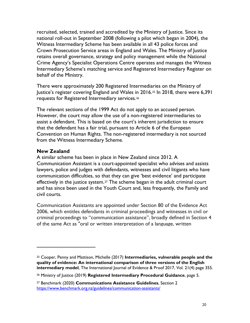recruited, selected, trained and accredited by the Ministry of Justice. Since its Witness Intermediary Scheme has been available in all 43 police forces and Crown Prosecution Service areas in England and Wales. The Ministry of Justice retains overall governance, strategy and policy management while the National Crime Agency's Specialist Operations Centre operates and manages the Witness Intermediary Scheme's matching service and Registered Intermediary Register on behalf of the Ministry. national roll-out in September 2008 (following a pilot which began in 2004), the

 There were approximately 200 Registered Intermediaries on the Ministry of Justice's register covering England and Wales in 2016.[25](#page-19-0) In 2018, there were 6,391 requests for Registered Intermediary services.[26](#page-19-1) 

 The relevant sections of the 1999 Act do not apply to an accused person. However, the court may allow the use of a non-registered intermediaries to assist a defendant. This is based on the court's inherent jurisdiction to ensure that the defendant has a fair trial, pursuant to Article 6 of the European Convention on Human Rights. The non-registered intermediary is not sourced from the Witness Intermediary Scheme.

#### **New Zealand**

-

 A similar scheme has been in place in New Zealand since 2012. A Communication Assistant is a court-appointed specialist who advises and assists lawyers, police and judges with defendants, witnesses and civil litigants who have communication difficulties, so that they can give 'best evidence' and participate effectively in the justice system.<sup>[27](#page-19-2)</sup> The scheme began in the adult criminal court and has since been used in the Youth Court and, less frequently, the Family and civil courts.

 Communication Assistants are appointed under Section 80 of the Evidence Act 2006, which entitles defendants in criminal proceedings and witnesses in civil or criminal proceedings to "communication assistance", broadly defined in Section 4 of the same Act as "oral or written interpretation of a language, written

<span id="page-19-0"></span> **quality of evidence: An international comparison of three versions of the English intermediary model**, The International Journal of Evidence & Proof 2017, Vol. 21(4) page 355. 25 Cooper, Penny and Mattison, Michelle (2017) **Intermediaries, vulnerable people and the** 

<span id="page-19-1"></span><sup>26</sup> Ministry of Justice (2019) **Registered Intermediary Procedural Guidance**, page 5.

<span id="page-19-2"></span><sup>27</sup> Benchmark (2020) **Communications Assistance Guidelines**, Section 2 <https://www.benchmark.org.nz/guidelines/communication-assistants/>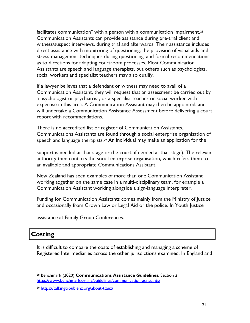Communication Assistants can provide assistance during pre-trial client and witness/suspect interviews, during trial and afterwards. Their assistance includes direct assistance with monitoring of questioning, the provision of visual aids and stress-management techniques during questioning, and formal recommendations as to directions for adapting courtroom processes. Most Communication Assistants are speech and language therapists, but others such as psychologists, social workers and specialist teachers may also qualify. facilitates communication" with a person with a communication impairment.<sup>28</sup>

 If a lawyer believes that a defendant or witness may need to avail of a Communication Assistant, they will request that an assessment be carried out by a psychologist or psychiatrist, or a specialist teacher or social worker with expertise in this area. A Communication Assistant may then be appointed, and will undertake a Communication Assistance Assessment before delivering a court report with recommendations.

 There is no accredited list or register of Communication Assistants. Communications Assistants are found through a social enterprise organisation of speech and language therapists.[29](#page-20-1) An individual may make an application for the

support of a Communications  $\mathcal{L}_\mathcal{A}$  and  $\mathcal{L}_\mathcal{A}$  are level assistants to the police, if  $\mathcal{L}_\mathcal{A}$ 

 support is needed at that stage or the court, if needed at that stage). The relevant authority then contacts the social enterprise organisation, which refers them to an available and appropriate Communications Assistant.

 New Zealand has seen examples of more than one Communication Assistant working together on the same case in a multi-disciplinary team, for example a Communication Assistant working alongside a sign-language interpreter.

 Funding for Communication Assistants comes mainly from the Ministry of Justice and occasionally from Crown Law or Legal Aid or the police. In Youth Justice

assistance at Family Group Conferences.

# **Costing**

 $\overline{a}$ 

 It is difficult to compare the costs of establishing and managing a scheme of Registered Intermediaries across the other jurisdictions examined. In England and

<span id="page-20-0"></span><sup>28</sup> Benchmark (2020) **Communications Assistance Guidelines**, Section 2 <https://www.benchmark.org.nz/guidelines/communication-assistants/>

<span id="page-20-1"></span><sup>29</sup><https://talkingtroublenz.org/about-ttanz/>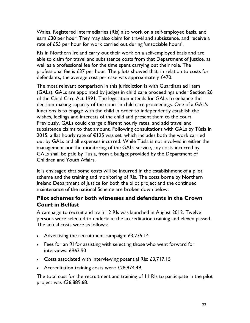Wales, Registered Intermediaries (RIs) also work on a self-employed basis, and earn  $E38$  per hour. They may also claim for travel and subsistence, and receive a rate of £55 per hour for work carried out during 'unsociable hours'.

 RIs in Northern Ireland carry out their work on a self-employed basis and are able to claim for travel and subsistence costs from that Department of Justice, as well as a professional fee for the time spent carrying out their role. The professional fee is  $£37$  per hour. The pilots showed that, in relation to costs for defendants, the average cost per case was approximately £470.

 The most relevant comparison in this jurisdiction is with Guardians ad litem (GALs). GALs are appointed by judges in child care proceedings under Section 26 of the Child Care Act 1991. The legislation intends for GALs to enhance the decision-making capacity of the court in child care proceedings. One of a GAL's functions is to engage with the child in order to independently establish the wishes, feelings and interests of the child and present them to the court. Previously, GALs could charge different hourly rates, and add travel and subsistence claims to that amount. Following consultations with GALs by Túsla in 2015, a flat hourly rate of €125 was set, which includes both the work carried out by GALs and all expenses incurred. While Túsla is not involved in either the management nor the monitoring of the GALs service, any costs incurred by GALs shall be paid by Túsla, from a budget provided by the Department of Children and Youth Affairs.

 It is envisaged that some costs will be incurred in the establishment of a pilot scheme and the training and monitoring of RIs. The costs borne by Northern Ireland Department of Justice for both the pilot project and the continued maintenance of the national Scheme are broken down below:

## **Pilot schemes for both witnesses and defendants in the Crown Court in Belfast**

 A campaign to recruit and train 12 RIs was launched in August 2012. Twelve The actual costs were as follows: persons were selected to undertake the accreditation training and eleven passed.

- Advertising the recruitment campaign:  $£3,235.14$
- • Fees for an RI for assisting with selecting those who went forward for interviews: £962.90
- Costs associated with interviewing potential RIs:  $£3,717.15$
- Accreditation training costs were £28,974.49.

 The total cost for the recruitment and training of 11 RIs to participate in the pilot project was £36,889.68.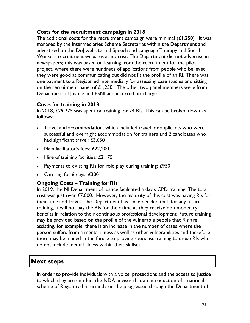#### **Costs for the recruitment campaign in 2018**

The additional costs for the recruitment campaign were minimal  $(L1,250)$ . It was managed by the Intermediaries Scheme Secretariat within the Department and advertised on the DoJ website and Speech and Language Therapy and Social Workers recruitment websites at no cost. The Department did not advertise in newspapers; this was based on learning from the recruitment for the pilot project, where there were hundreds of applications from people who believed they were good at communicating but did not fit the profile of an RI. There was one payment to a Registered Intermediary for assessing case studies and sitting on the recruitment panel of  $£1,250$ . The other two panel members were from Department of Justice and PSNI and incurred no charge.

#### **Costs for training in 2018**

 In 2018, £29,275 was spent on training for 24 RIs. This can be broken down as follows:

- • Travel and accommodation, which included travel for applicants who were successful and overnight accommodation for trainers and 2 candidates who had significant travel: £3,650
- Main facilitator's fees: £22,200
- Hire of training facilities:  $£2,175$
- Payments to existing RIs for role play during training: £950
- Catering for 6 days: £300

#### **Ongoing Costs – Training for RIs**

 In 2019, the NI Department of Justice facilitated a day's CPD training. The total cost was just over  $£7,000$ . However, the majority of this cost was paying RIs for their time and travel. The Department has since decided that, for any future training, it will not pay the RIs for their time as they receive non-monetary benefits in relation to their continuous professional development. Future training may be provided based on the profile of the vulnerable people that RIs are assisting, for example, there is an increase in the number of cases where the person suffers from a mental illness as well as other vulnerabilities and therefore there may be a need in the future to provide specialist training to those RIs who do not include mental illness within their skillset.

# **Next steps**

 In order to provide individuals with a voice, protections and the access to justice to which they are entitled, the NDA advises that an introduction of a national scheme of Registered Intermediaries be progressed through the Department of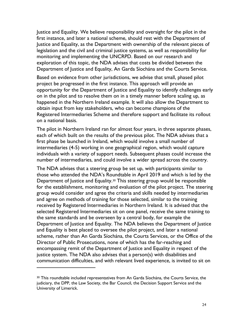Justice and Equality. We believe responsibility and oversight for the pilot in the first instance, and later a national scheme, should rest with the Department of Justice and Equality, as the Department with ownership of the relevant pieces of legislation and the civil and criminal justice systems, as well as responsibility for exploration of this topic, the NDA advises that costs be divided between the Department of Justice and Equality, An Garda Síochána and the Courts Service. monitoring and implementing the UNCRPD. Based on our research and

 Based on evidence from other jurisdictions, we advise that small, phased pilot project be progressed in the first instance. This approach will provide an opportunity for the Department of Justice and Equality to identify challenges early on in the pilot and to resolve them on in a timely manner before scaling up, as happened in the Northern Ireland example. It will also allow the Department to obtain input from key stakeholders, who can become champions of the Registered Intermediaries Scheme and therefore support and facilitate its rollout on a national basis.

 The pilot in Northern Ireland ran for almost four years, in three separate phases, each of which built on the results of the previous pilot. The NDA advises that a first phase be launched in Ireland, which would involve a small number of intermediaries (4-5) working in one geographical region, which would capture individuals with a variety of support needs. Subsequent phases could increase the number of intermediaries, and could involve a wider spread across the country.

 The NDA advises that a steering group be set up, with participants similar to those who attended the NDA's Roundtable in April 2019 and which is led by the Department of Justice and Equality.[30](#page-23-0) This steering group would be responsible for the establishment, monitoring and evaluation of the pilot project. The steering group would consider and agree the criteria and skills needed by intermediaries and agree on methods of training for those selected, similar to the training received by Registered Intermediaries in Northern Ireland. It is advised that the selected Registered Intermediaries sit on one panel, receive the same training to the same standards and be overseen by a central body, for example the Department of Justice and Equality. The NDA believes the Department of Justice and Equality is best placed to oversee the pilot project, and later a national scheme, rather than An Garda Síochána, the Courts Services, or the Office of the Director of Public Prosecutions, none of which has the far-reaching and encompassing remit of the Department of Justice and Equality in respect of the justice system. The NDA also advises that a person(s) with disabilities and communication difficulties, and with relevant lived experience, is invited to sit on

-

<span id="page-23-0"></span><sup>&</sup>lt;sup>30</sup> This roundtable included representatives from An Garda Síochána, the Courts Service, the judiciary, the DPP, the Law Society, the Bar Council, the Decision Support Service and the University of Limerick.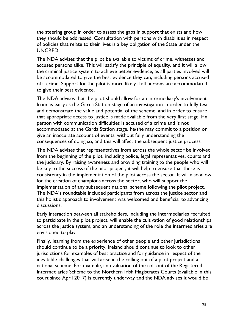the steering group in order to assess the gaps in support that exists and how they should be addressed. Consultation with persons with disabilities in respect of policies that relate to their lives is a key obligation of the State under the UNCRPD.

 The NDA advises that the pilot be available to victims of crime, witnesses and accused persons alike. This will satisfy the principle of equality, and it will allow the criminal justice system to achieve better evidence, as all parties involved will be accommodated to give the best evidence they can, including persons accused of a crime. Support for the pilot is more likely if all persons are accommodated to give their best evidence.

 The NDA advises that the pilot should allow for an intermediary's involvement from as early as the Garda Station stage of an investigation in order to fully test and demonstrate the value and potential of the scheme, and in order to ensure that appropriate access to justice is made available from the very first stage. If a person with communication difficulties is accused of a crime and is not give an inaccurate account of events, without fully understanding the consequences of doing so, and this will affect the subsequent justice process. accommodated at the Garda Station stage, he/she may commit to a position or

 The NDA advises that representatives from across the whole sector be involved from the beginning of the pilot, including police, legal representatives, courts and the judiciary. By raising awareness and providing training to the people who will be key to the success of the pilot project, it will help to ensure that there is consistency in the implementation of the pilot across the sector. It will also allow for the creation of champions across the sector, who will support the implementation of any subsequent national scheme following the pilot project. The NDA's roundtable included participants from across the justice sector and this holistic approach to involvement was welcomed and beneficial to advancing discussions.

 to participate in the pilot project, will enable the cultivation of good relationships across the justice system, and an understanding of the role the intermediaries are envisioned to play. Early interaction between all stakeholders, including the intermediaries recruited

 Finally, learning from the experience of other people and other jurisdictions should continue to be a priority. Ireland should continue to look to other jurisdictions for examples of best practice and for guidance in respect of the inevitable challenges that will arise in the rolling out of a pilot project and a national scheme. For example, an evaluation of the roll-out of the Registered Intermediaries Scheme to the Northern Irish Magistrates Courts (available in this court since April 2017) is currently underway and the NDA advises it would be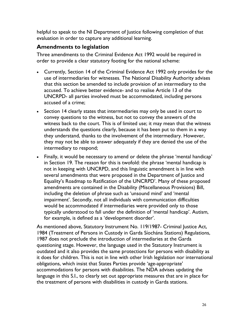helpful to speak to the NI Department of Justice following completion of that evaluation in order to capture any additional learning.

## **Amendments to legislation**

 Three amendments to the Criminal Evidence Act 1992 would be required in order to provide a clear statutory footing for the national scheme:

- • Currently, Section 14 of the Criminal Evidence Act 1992 only provides for the use of intermediaries for witnesses. The National Disability Authority advises that this section be amended to include provision of an intermediary to the accused. To achieve better evidence- and to realise Article 13 of the UNCRPD- all parties involved must be accommodated, including persons accused of a crime;
- • Section 14 clearly states that intermediaries may only be used in court to convey questions to the witness, but not to convey the answers of the witness back to the court. This is of limited use; it may mean that the witness understands the questions clearly, because it has been put to them in a way they understand, thanks to the involvement of the intermediary. However, they may not be able to answer adequately if they are denied the use of the intermediary to respond;
- • Finally, it would be necessary to amend or delete the phrase 'mental handicap' in Section 19. The reason for this is twofold: the phrase 'mental handicap is not in keeping with UNCRPD, and this linguistic amendment is in line with several amendments that were proposed in the Department of Justice and Equality's Roadmap to Ratification of the UNCRPD'. Many of these proposed amendments are contained in the Disability (Miscellaneous Provisions) Bill, including the deletion of phrase such as 'unsound mind' and 'mental would be accommodated if intermediaries were provided only to those typically understood to fall under the definition of 'mental handicap'. Autism, for example, is defined as a 'development disorder'. impairment'. Secondly, not all individuals with communication difficulties

 As mentioned above, Statutory Instrument No. 119/1987- Criminal Justice Act, 1984 (Treatment of Persons in Custody in Garda Síochána Stations) Regulations, 1987 does not preclude the introduction of intermediaries at the Garda questioning stage. However, the language used in the Statutory Instrument is outdated and it also provides the same protections for persons with disability as it does for children. This is not in line with other Irish legislation nor international obligations, which insist that States Parties provide 'age-appropriate' accommodations for persons with disabilities. The NDA advises updating the language in this S.I., to clearly set out appropriate measures that are in place for the treatment of persons with disabilities in custody in Garda stations.